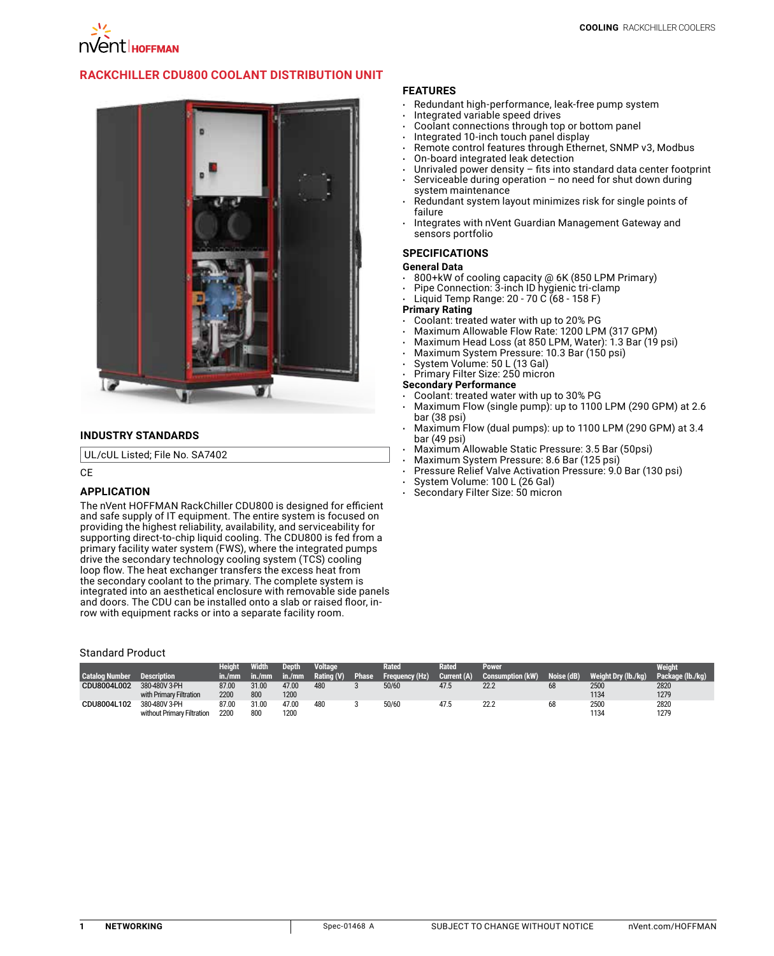

# **RackChiller CDU800 Coolant Distribution Unit**



## **INDUSTRY STANDARDS**

UL/cUL Listed; File No. SA7402

**CE** 

### **APPLICATION**

The nVent HOFFMAN RackChiller CDU800 is designed for efficient and safe supply of IT equipment. The entire system is focused on providing the highest reliability, availability, and serviceability for supporting direct-to-chip liquid cooling. The CDU800 is fed from a primary facility water system (FWS), where the integrated pumps drive the secondary technology cooling system (TCS) cooling loop flow. The heat exchanger transfers the excess heat from the secondary coolant to the primary. The complete system is integrated into an aesthetical enclosure with removable side panels and doors. The CDU can be installed onto a slab or raised floor, inrow with equipment racks or into a separate facility room.

#### Standard Product

#### **Catalog Number Description Height in./mm Width**   $\ln l$ **Depth in./mm Voltage Rating (V) Phase Rated Frequency (Hz) Rated Current** 47.5 **Power Weight Dry (lb./kg) 2500 Weight Package (lb./kg)** [CDU8004L002](http://hoffman.nvent.com/en/hoffman/CDU8004L002) with Primary Filtration<br>380-480V 3-PH 87.00 2200 31.00 800 47.00 1200 480 3 50/60 47.5 22.2 68 2500 1134 2820 1279 [CDU8004L102](http://hoffman.nvent.com/en/hoffman/CDU8004L102) without Primary Filtration 87.00 2200 31.00 800 47.00 1200 480 3 50/60 47.5 22.2 68 2500 1134 2820 1270

#### **FEATURES**

- Redundant high-performance, leak-free pump system
- Integrated variable speed drives
- Coolant connections through top or bottom panel
- Integrated 10-inch touch panel display
- Remote control features through Ethernet, SNMP v3, Modbus
- On-board integrated leak detection
- Unrivaled power density  $-$  fits into standard data center footprint
- Serviceable during operation no need for shut down during system maintenance
- Redundant system layout minimizes risk for single points of failure
- Integrates with nVent Guardian Management Gateway and sensors portfolio

## **SPECIFICATIONS**

#### **General Data**

- 800+kW of cooling capacity @ 6K (850 LPM Primary)
- Pipe Connection: 3-inch ID hygienic tri-clamp
- Liquid Temp Range: 20 70 C (68 158 F)

# **Primary Rating**

- Coolant: treated water with up to 20% PG
- Maximum Allowable Flow Rate: 1200 LPM (317 GPM)
- Maximum Head Loss (at 850 LPM, Water): 1.3 Bar (19 psi)
- Maximum System Pressure: 10.3 Bar (150 psi)
- System Volume: 50 L (13 Gal)
- Primary Filter Size: 250 micron

#### **Secondary Performance**

- Coolant: treated water with up to 30% PG • Maximum Flow (single pump): up to 1100 LPM (290 GPM) at 2.6
- bar (38 psi) • Maximum Flow (dual pumps): up to 1100 LPM (290 GPM) at 3.4 bar (49 psi)
- Maximum Allowable Static Pressure: 3.5 Bar (50psi)
- Maximum System Pressure: 8.6 Bar (125 psi)
- Pressure Relief Valve Activation Pressure: 9.0 Bar (130 psi)
- System Volume: 100 L (26 Gal)
- Secondary Filter Size: 50 micron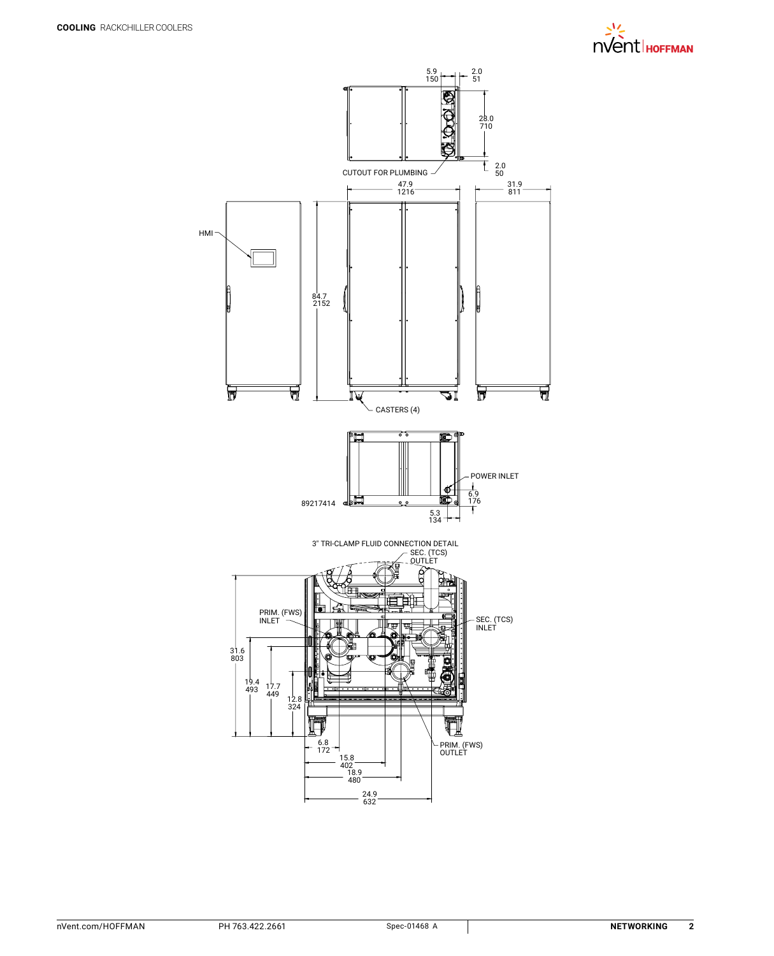

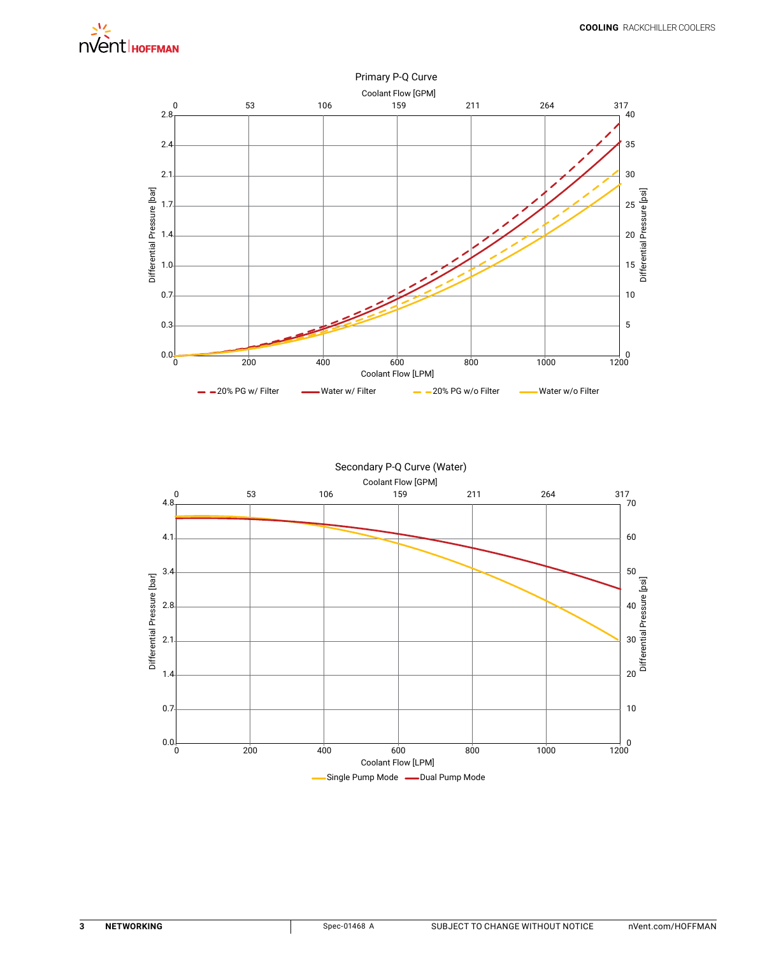